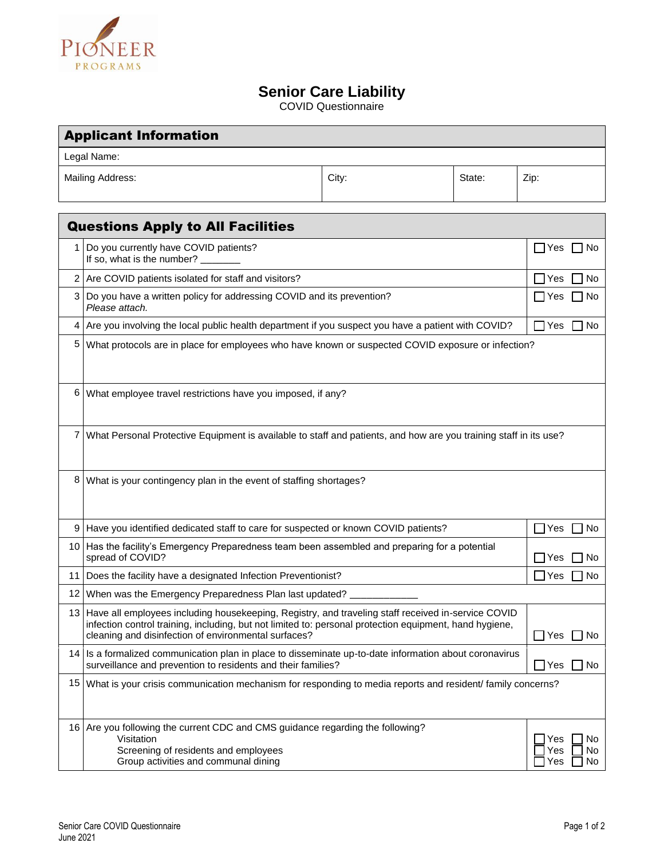

## **Senior Care Liability**

COVID Questionnaire

| <b>Applicant Information</b>             |                                                                                                                                                                                                                                                                          |       |                  |                                      |  |
|------------------------------------------|--------------------------------------------------------------------------------------------------------------------------------------------------------------------------------------------------------------------------------------------------------------------------|-------|------------------|--------------------------------------|--|
| Legal Name:                              |                                                                                                                                                                                                                                                                          |       |                  |                                      |  |
| Mailing Address:                         |                                                                                                                                                                                                                                                                          | City: | State:           | Zip:                                 |  |
| <b>Questions Apply to All Facilities</b> |                                                                                                                                                                                                                                                                          |       |                  |                                      |  |
| 1                                        | Do you currently have COVID patients?<br>If so, what is the number?                                                                                                                                                                                                      |       |                  | $\Box$ Yes $\Box$ No                 |  |
|                                          | 2 Are COVID patients isolated for staff and visitors?<br>Yes                                                                                                                                                                                                             |       |                  | No                                   |  |
| 3                                        | Do you have a written policy for addressing COVID and its prevention?<br>Please attach.                                                                                                                                                                                  |       |                  | IYes<br>No                           |  |
| 4                                        | Are you involving the local public health department if you suspect you have a patient with COVID?<br>∏ Yes<br>□ No                                                                                                                                                      |       |                  |                                      |  |
| 5 <sub>1</sub>                           | What protocols are in place for employees who have known or suspected COVID exposure or infection?                                                                                                                                                                       |       |                  |                                      |  |
| 6                                        | What employee travel restrictions have you imposed, if any?                                                                                                                                                                                                              |       |                  |                                      |  |
| 7                                        | What Personal Protective Equipment is available to staff and patients, and how are you training staff in its use?                                                                                                                                                        |       |                  |                                      |  |
| 8                                        | What is your contingency plan in the event of staffing shortages?                                                                                                                                                                                                        |       |                  |                                      |  |
| 9                                        | Have you identified dedicated staff to care for suspected or known COVID patients?                                                                                                                                                                                       |       | $\Box$ Yes<br>No |                                      |  |
| 10                                       | Has the facility's Emergency Preparedness team been assembled and preparing for a potential<br>spread of COVID?                                                                                                                                                          |       |                  | No<br>IYes                           |  |
|                                          | 11 Does the facility have a designated Infection Preventionist?                                                                                                                                                                                                          |       |                  | Yes<br>No.                           |  |
| 12 <sub>1</sub>                          | When was the Emergency Preparedness Plan last updated?                                                                                                                                                                                                                   |       |                  |                                      |  |
|                                          | 13 Have all employees including housekeeping, Registry, and traveling staff received in-service COVID<br>infection control training, including, but not limited to: personal protection equipment, hand hygiene,<br>cleaning and disinfection of environmental surfaces? |       |                  | $\Box$ Yes<br>No                     |  |
|                                          | 14 Is a formalized communication plan in place to disseminate up-to-date information about coronavirus<br>surveillance and prevention to residents and their families?                                                                                                   |       |                  | $\exists$ Yes<br>∃ No                |  |
|                                          | 15 What is your crisis communication mechanism for responding to media reports and resident/ family concerns?                                                                                                                                                            |       |                  |                                      |  |
|                                          | 16 Are you following the current CDC and CMS guidance regarding the following?<br>Visitation<br>Screening of residents and employees<br>Group activities and communal dining                                                                                             |       |                  | No<br>Yes<br>Yes<br>No.<br>Yes<br>No |  |